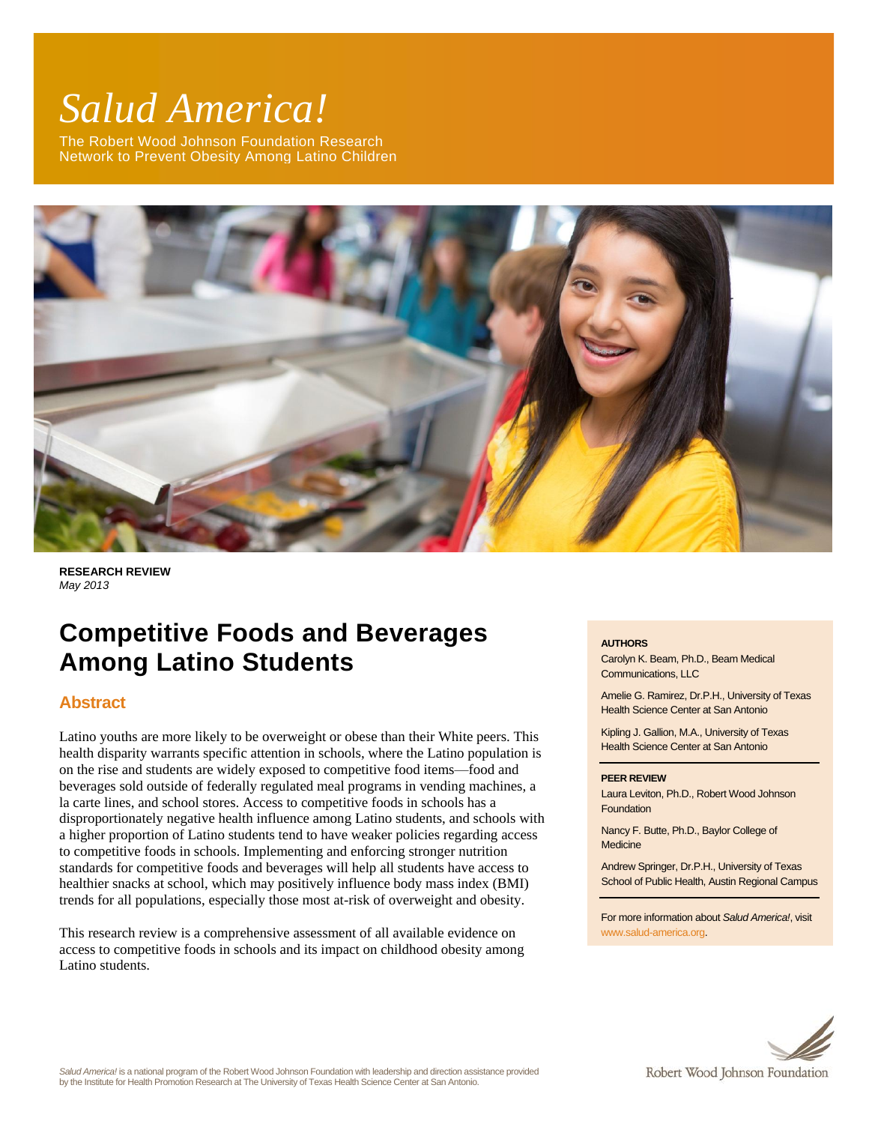# *Salud America!*

The Robert Wood Johnson Foundation Research Network to Prevent Obesity Among Latino Children



**RESEARCH REVIEW** *May 2013*

# **Competitive Foods and Beverages Among Latino Students**

# **Abstract**

Latino youths are more likely to be overweight or obese than their White peers. This health disparity warrants specific attention in schools, where the Latino population is on the rise and students are widely exposed to competitive food items—food and beverages sold outside of federally regulated meal programs in vending machines, a la carte lines, and school stores. Access to competitive foods in schools has a disproportionately negative health influence among Latino students, and schools with a higher proportion of Latino students tend to have weaker policies regarding access to competitive foods in schools. Implementing and enforcing stronger nutrition standards for competitive foods and beverages will help all students have access to healthier snacks at school, which may positively influence body mass index (BMI) trends for all populations, especially those most at-risk of overweight and obesity.

This research review is a comprehensive assessment of all available evidence on access to competitive foods in schools and its impact on childhood obesity among Latino students.

#### **AUTHORS**

Carolyn K. Beam, Ph.D., Beam Medical Communications, LLC

Amelie G. Ramirez, Dr.P.H., University of Texas Health Science Center at San Antonio

Kipling J. Gallion, M.A., University of Texas Health Science Center at San Antonio

#### **PEER REVIEW**

Laura Leviton, Ph.D., Robert Wood Johnson **Foundation** 

Nancy F. Butte, Ph.D., Baylor College of Medicine

Andrew Springer, Dr.P.H., University of Texas School of Public Health, Austin Regional Campus

For more information about *Salud America!*, visit [www.salud-america.org.](http://www.salud-america.org/) 



*Salud America!* is a national program of the Robert Wood Johnson Foundation with leadership and direction assistance provided by the Institute for Health Promotion Research at The University of Texas Health Science Center at San Antonio.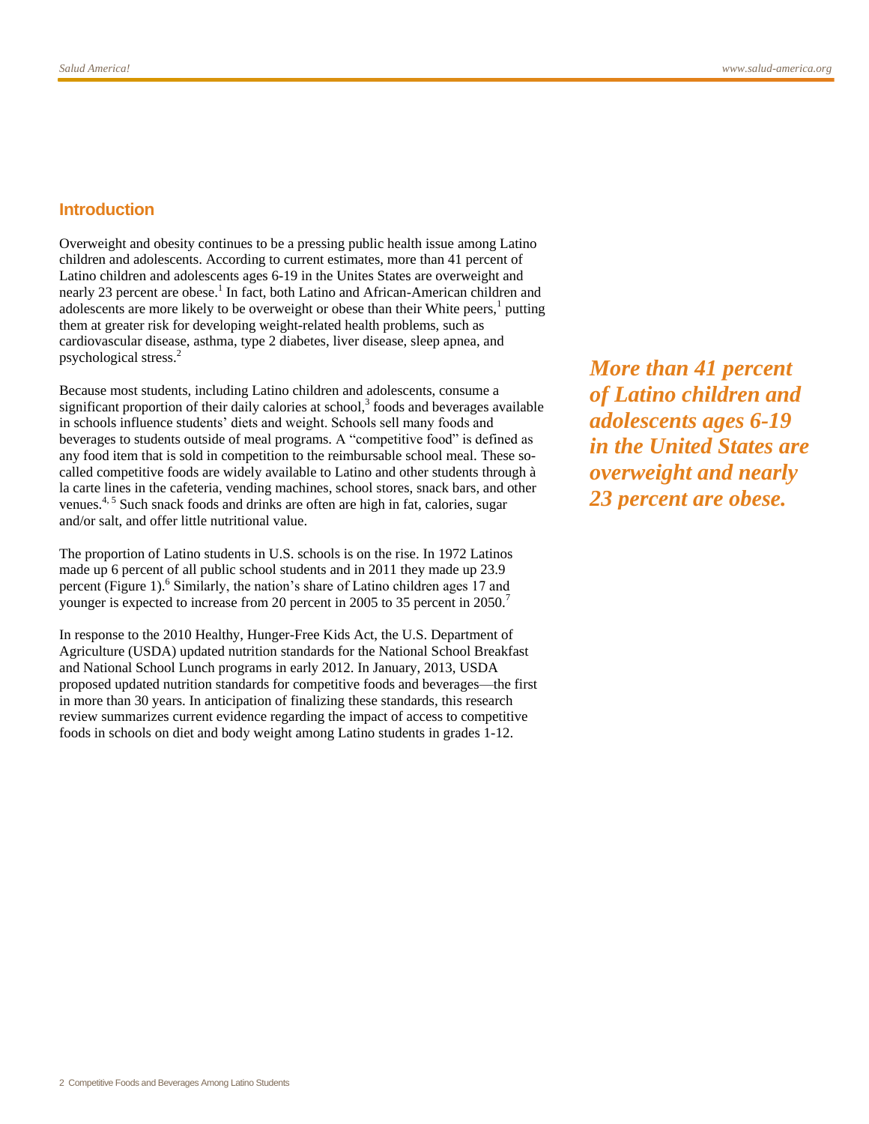# **Introduction**

Overweight and obesity continues to be a pressing public health issue among Latino children and adolescents. According to current estimates, more than 41 percent of Latino children and adolescents ages 6-19 in the Unites States are overweight and nearly 23 percent are obes[e.](#page-12-0)<sup>1</sup> In fact, both Latino and African-American children and adolescents are more likely to be overweight or obese than their White peers[,](#page-12-0)<sup>1</sup> putting them at greater risk for developing weight-related health problems, such as cardiovascular disease, asthma, type 2 diabetes, liver disease, sleep apnea, and psychological stres[s.](#page-12-1)<sup>2</sup>

Because most students, including Latino children and adolescents, consume a significant proportion of their daily calories at school[,](#page-12-2) $3$  foods and beverages available in schools influence students' diets and weight. Schools sell many foods and beverages to students outside of meal programs. A "competitive food" is defined as any food item that is sold in competition to the reimbursable school meal. These socalled competitive foods are widely available to Latino and other students through à la carte lines in the cafeteria, vending machines, school stores, snack bars, and other venues.<sup>[4,](#page-12-3) [5](#page-12-4)</sup> Such snack foods and drinks are often are high in fat, calories, sugar and/or salt, and offer little nutritional value.

The proportion of Latino students in U.S. schools is on the rise. In 1972 Latinos made up 6 percent of all public school students and in 2011 they made up 23.9 percent (Figure 1)[.](#page-12-5)<sup>6</sup> Similarly, the nation's share of Latino children ages 17 and younger is expected to increase from 20 percent in 2005 to 35 percent in 2050[.](#page-12-6)<sup>7</sup>

In response to the 2010 Healthy, Hunger-Free Kids Act, the U.S. Department of Agriculture (USDA) updated nutrition standards for the National School Breakfast and National School Lunch programs in early 2012. In January, 2013, USDA proposed updated nutrition standards for competitive foods and beverages—the first in more than 30 years. In anticipation of finalizing these standards, this research review summarizes current evidence regarding the impact of access to competitive foods in schools on diet and body weight among Latino students in grades 1-12.

*More than 41 percent of Latino children and adolescents ages 6-19 in the United States are overweight and nearly 23 percent are obese.*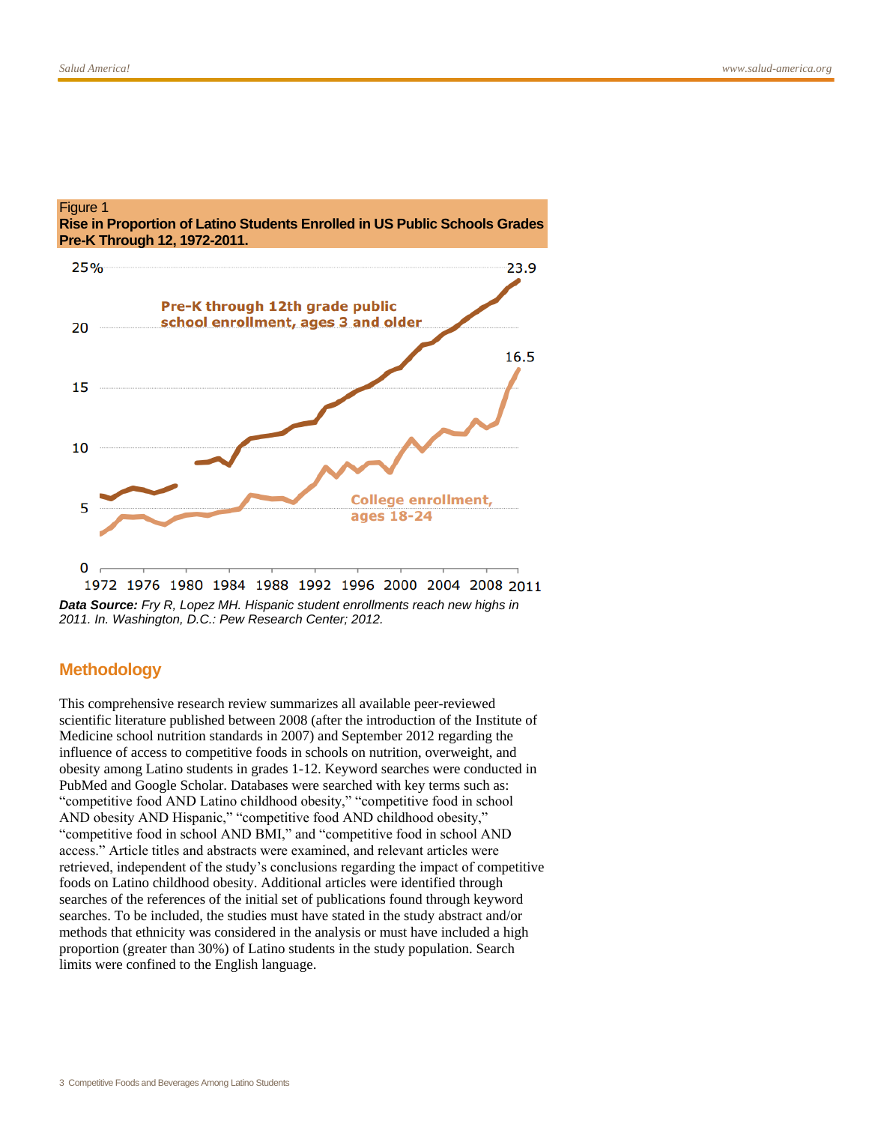Figure 1



#### *Data Source: Fry R, Lopez MH. Hispanic student enrollments reach new highs in 2011. In. Washington, D.C.: Pew Research Center; 2012.*

# **Methodology**

This comprehensive research review summarizes all available peer-reviewed scientific literature published between 2008 (after the introduction of the Institute of Medicine school nutrition standards in 2007) and September 2012 regarding the influence of access to competitive foods in schools on nutrition, overweight, and obesity among Latino students in grades 1-12. Keyword searches were conducted in PubMed and Google Scholar. Databases were searched with key terms such as: "competitive food AND Latino childhood obesity," "competitive food in school AND obesity AND Hispanic," "competitive food AND childhood obesity," "competitive food in school AND BMI," and "competitive food in school AND access." Article titles and abstracts were examined, and relevant articles were retrieved, independent of the study's conclusions regarding the impact of competitive foods on Latino childhood obesity. Additional articles were identified through searches of the references of the initial set of publications found through keyword searches. To be included, the studies must have stated in the study abstract and/or methods that ethnicity was considered in the analysis or must have included a high proportion (greater than 30%) of Latino students in the study population. Search limits were confined to the English language.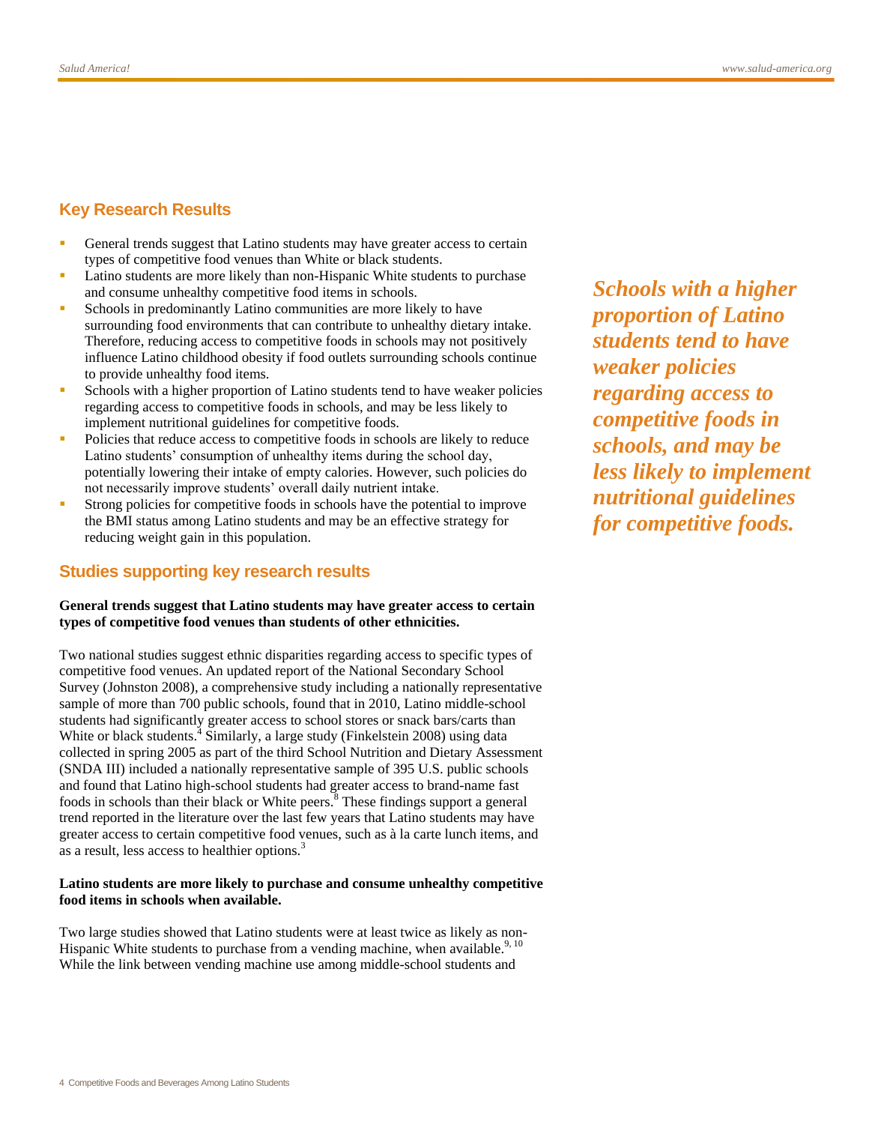# **Key Research Results**

- General trends suggest that Latino students may have greater access to certain types of competitive food venues than White or black students.
- Latino students are more likely than non-Hispanic White students to purchase and consume unhealthy competitive food items in schools.
- Schools in predominantly Latino communities are more likely to have surrounding food environments that can contribute to unhealthy dietary intake. Therefore, reducing access to competitive foods in schools may not positively influence Latino childhood obesity if food outlets surrounding schools continue to provide unhealthy food items.
- Schools with a higher proportion of Latino students tend to have weaker policies regarding access to competitive foods in schools, and may be less likely to implement nutritional guidelines for competitive foods.
- Policies that reduce access to competitive foods in schools are likely to reduce Latino students' consumption of unhealthy items during the school day, potentially lowering their intake of empty calories. However, such policies do not necessarily improve students' overall daily nutrient intake.
- Strong policies for competitive foods in schools have the potential to improve the BMI status among Latino students and may be an effective strategy for reducing weight gain in this population.

# **Studies supporting key research results**

#### **General trends suggest that Latino students may have greater access to certain types of competitive food venues than students of other ethnicities.**

Two national studies suggest ethnic disparities regarding access to specific types of competitive food venues. An updated report of the National Secondary School Survey (Johnston 2008), a comprehensive study including a nationally representative sample of more than 700 public schools, found that in 2010, Latino middle-school students had significantly greater access to school stores or snack bars/carts than White or black students[.](#page-12-3)<sup>4</sup> Similarly, a large study (Finkelstein 2008) using data collected in spring 2005 as part of the third School Nutrition and Dietary Assessment (SNDA III) included a nationally representative sample of 395 U.S. public schools and found that Latino high-school students had greater access to brand-name fast foods in schools than their black or White peers[.](#page-12-7)<sup>8</sup> These findings support a general trend reported in the literature over the last few years that Latino students may have greater access to certain competitive food venues, such as à la carte lunch items, and as a result, less access to healthier options.<sup>[3](#page-12-2)</sup>

#### **Latino students are more likely to purchase and consume unhealthy competitive food items in schools when available.**

Two large studies showed that Latino students were at least twice as likely as non-Hispanic White students to purchase from a vending machine, when available.<sup>[9,](#page-12-8) [10](#page-12-9)</sup> While the link between vending machine use among middle-school students and

*Schools with a higher proportion of Latino students tend to have weaker policies regarding access to competitive foods in schools, and may be less likely to implement nutritional guidelines for competitive foods.*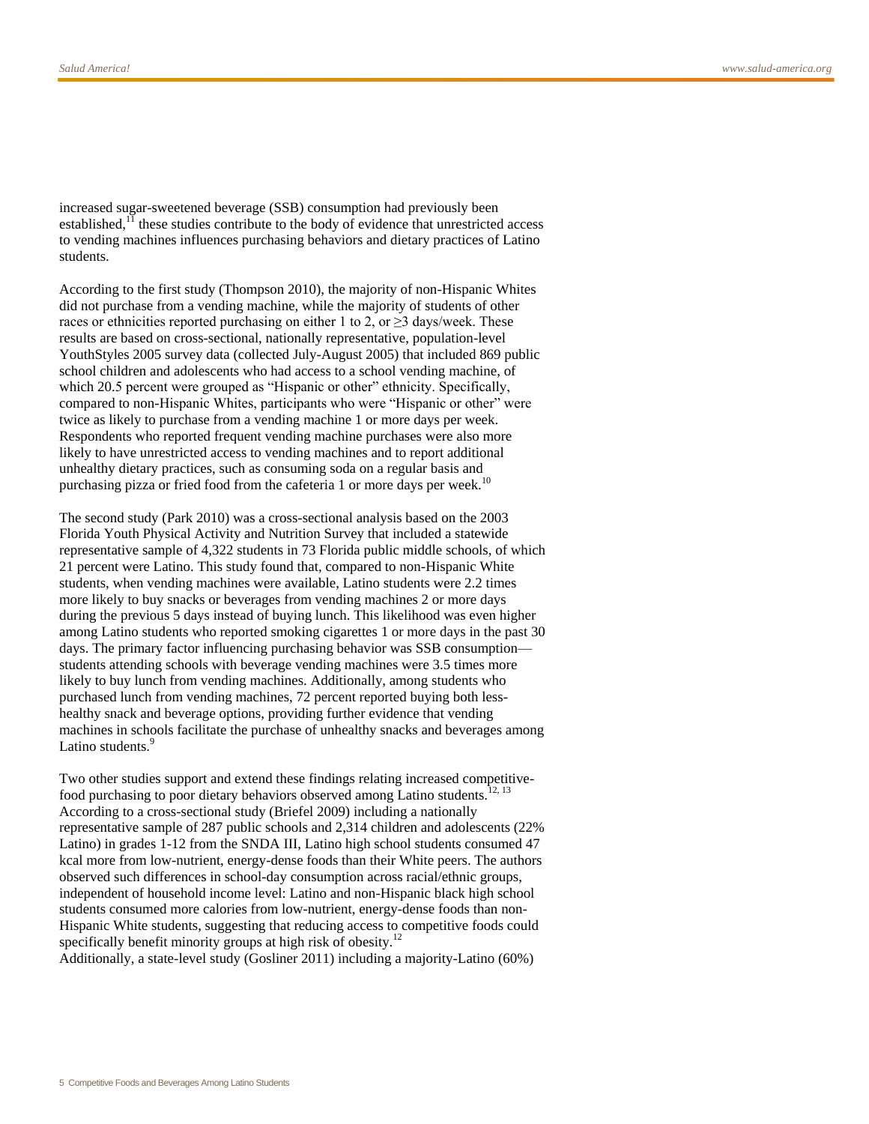increased sugar-sweetened beverage (SSB) consumption had previously been established, $<sup>11</sup>$  $<sup>11</sup>$  $<sup>11</sup>$  these studies contribute to the body of evidence that unrestricted access</sup> to vending machines influences purchasing behaviors and dietary practices of Latino students.

According to the first study (Thompson 2010), the majority of non-Hispanic Whites did not purchase from a vending machine, while the majority of students of other races or ethnicities reported purchasing on either 1 to 2, or  $\geq$ 3 days/week. These results are based on cross-sectional, nationally representative, population-level YouthStyles 2005 survey data (collected July-August 2005) that included 869 public school children and adolescents who had access to a school vending machine, of which 20.5 percent were grouped as "Hispanic or other" ethnicity. Specifically, compared to non-Hispanic Whites, participants who were "Hispanic or other" were twice as likely to purchase from a vending machine 1 or more days per week. Respondents who reported frequent vending machine purchases were also more likely to have unrestricted access to vending machines and to report additional unhealthy dietary practices, such as consuming soda on a regular basis and purchasing pizza or fried food from the cafeteria 1 or more days per week.<sup>[10](#page-12-9)</sup>

The second study (Park 2010) was a cross-sectional analysis based on the 2003 Florida Youth Physical Activity and Nutrition Survey that included a statewide representative sample of 4,322 students in 73 Florida public middle schools, of which 21 percent were Latino. This study found that, compared to non-Hispanic White students, when vending machines were available, Latino students were 2.2 times more likely to buy snacks or beverages from vending machines 2 or more days during the previous 5 days instead of buying lunch. This likelihood was even higher among Latino students who reported smoking cigarettes 1 or more days in the past 30 days. The primary factor influencing purchasing behavior was SSB consumption students attending schools with beverage vending machines were 3.5 times more likely to buy lunch from vending machines. Additionally, among students who purchased lunch from vending machines, 72 percent reported buying both lesshealthy snack and beverage options, providing further evidence that vending machines in schools facilitate the purchase of unhealthy snacks and beverages among Latino student[s.](#page-12-8)<sup>9</sup>

Two other studies support and extend these findings relating increased competitive-food purchasing to poor dietary behaviors observed among Latino students.<sup>[12,](#page-13-1) [13](#page-13-2)</sup> According to a cross-sectional study (Briefel 2009) including a nationally representative sample of 287 public schools and 2,314 children and adolescents (22% Latino) in grades 1-12 from the SNDA III, Latino high school students consumed 47 kcal more from low-nutrient, energy-dense foods than their White peers. The authors observed such differences in school-day consumption across racial/ethnic groups, independent of household income level: Latino and non-Hispanic black high school students consumed more calories from low-nutrient, energy-dense foods than non-Hispanic White students, suggesting that reducing access to competitive foods could specifically benefit minority groups at high risk of obesity.<sup>[12](#page-13-1)</sup>

Additionally, a state-level study (Gosliner 2011) including a majority-Latino (60%)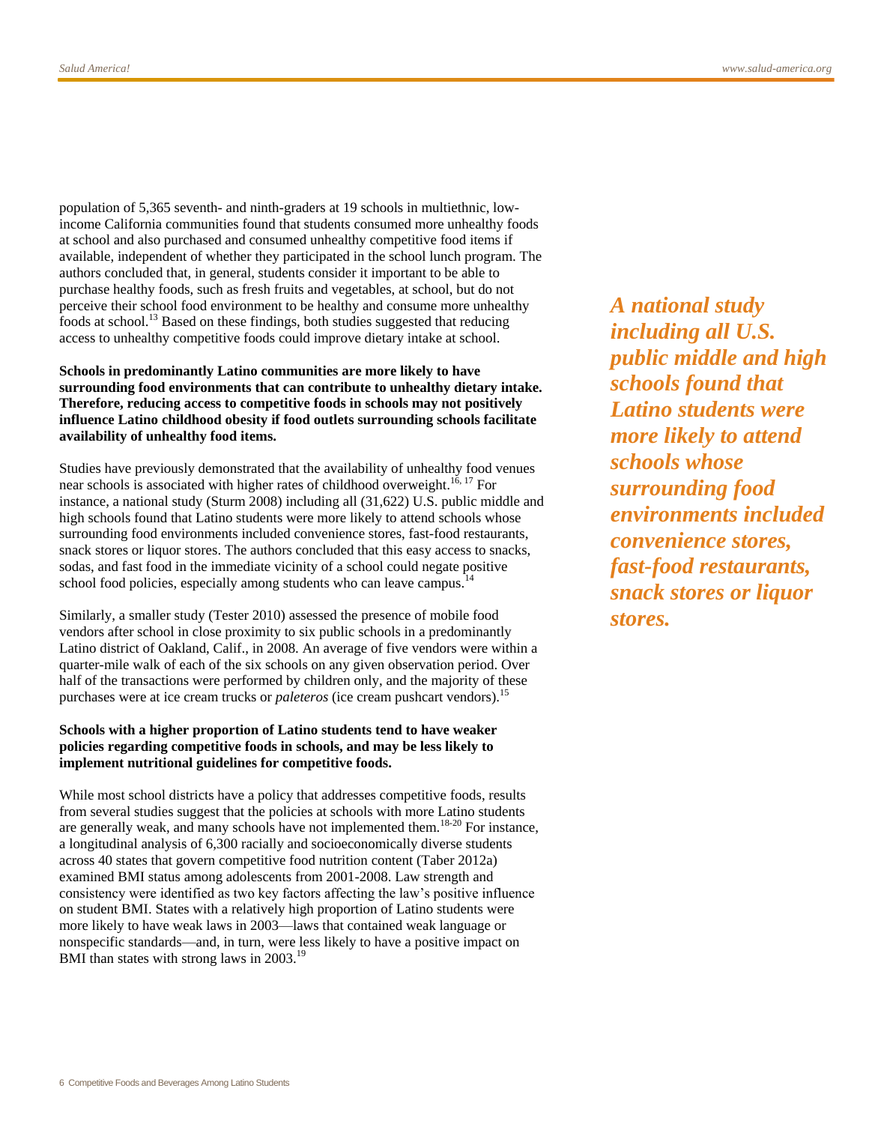population of 5,365 seventh- and ninth-graders at 19 schools in multiethnic, lowincome California communities found that students consumed more unhealthy foods at school and also purchased and consumed unhealthy competitive food items if available, independent of whether they participated in the school lunch program. The authors concluded that, in general, students consider it important to be able to purchase healthy foods, such as fresh fruits and vegetables, at school, but do not perceive their school food environment to be healthy and consume more unhealthy foods at school.<sup>[13](#page-13-2)</sup> Based on these findings, both studies suggested that reducing access to unhealthy competitive foods could improve dietary intake at school.

#### **Schools in predominantly Latino communities are more likely to have surrounding food environments that can contribute to unhealthy dietary intake. Therefore, reducing access to competitive foods in schools may not positively influence Latino childhood obesity if food outlets surrounding schools facilitate availability of unhealthy food items.**

Studies have previously demonstrated that the availability of unhealthy food venues near schools is associated with higher rates of childhood overweight.<sup>[16,](#page-13-3) [17](#page-13-4)</sup> For instance, a national study (Sturm 2008) including all (31,622) U.S. public middle and high schools found that Latino students were more likely to attend schools whose surrounding food environments included convenience stores, fast-food restaurants, snack stores or liquor stores. The authors concluded that this easy access to snacks, sodas, and fast food in the immediate vicinity of a school could negate positive school food policies, especially among students who can leave campus.<sup>1</sup>

Similarly, a smaller study (Tester 2010) assessed the presence of mobile food vendors after school in close proximity to six public schools in a predominantly Latino district of Oakland, Calif., in 2008. An average of five vendors were within a quarter-mile walk of each of the six schools on any given observation period. Over half of the transactions were performed by children only, and the majority of these purchases were at ice cream trucks or *paleteros* (ice cream pushcart vendors).[15](#page-13-6)

#### **Schools with a higher proportion of Latino students tend to have weaker policies regarding competitive foods in schools, and may be less likely to implement nutritional guidelines for competitive foods.**

While most school districts have a policy that addresses competitive foods, results from several studies suggest that the policies at schools with more Latino students are generally weak, and many schools have not implemented them.[18-20](#page-13-7) For instance, a longitudinal analysis of 6,300 racially and socioeconomically diverse students across 40 states that govern competitive food nutrition content (Taber 2012a) examined BMI status among adolescents from 2001-2008. Law strength and consistency were identified as two key factors affecting the law's positive influence on student BMI. States with a relatively high proportion of Latino students were more likely to have weak laws in 2003—laws that contained weak language or nonspecific standards—and, in turn, were less likely to have a positive impact on BMI than states with strong laws in 2003.<sup>[19](#page-13-8)</sup>

*A national study including all U.S. public middle and high schools found that Latino students were more likely to attend schools whose surrounding food environments included convenience stores, fast-food restaurants, snack stores or liquor stores.*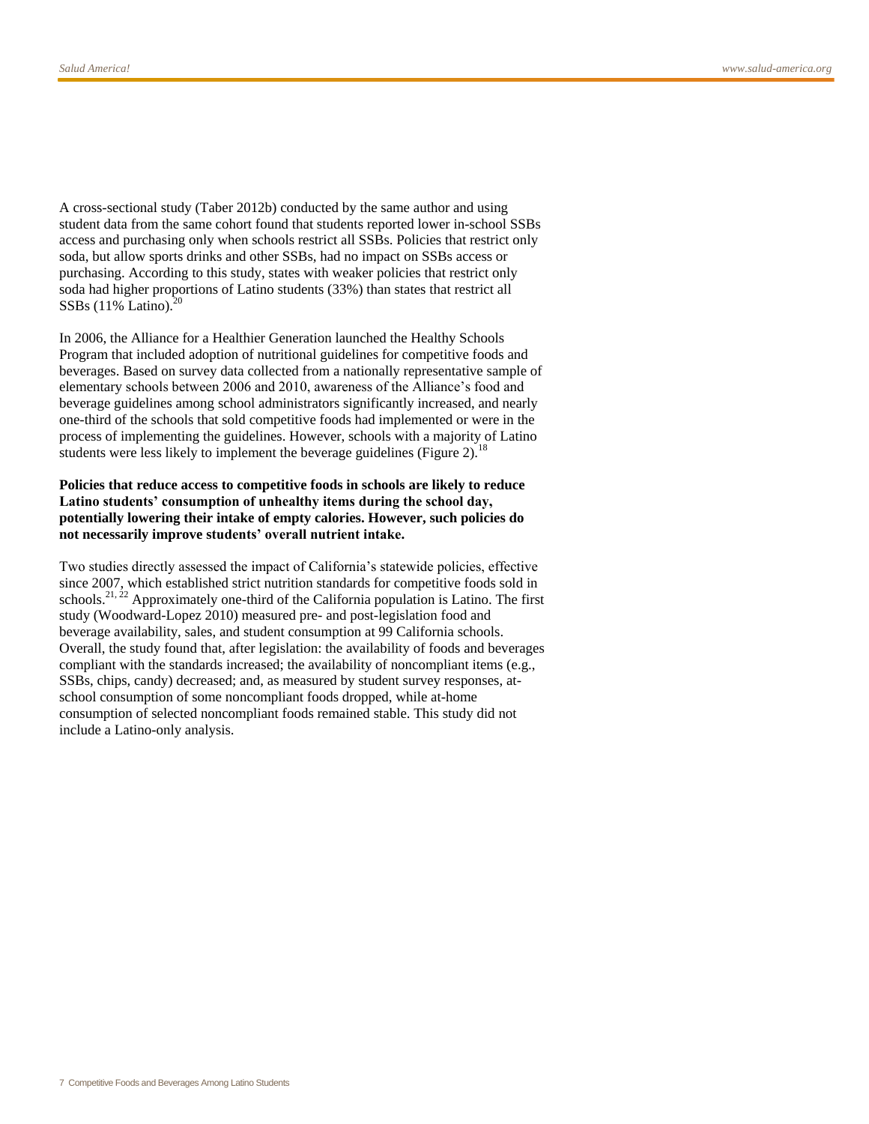A cross-sectional study (Taber 2012b) conducted by the same author and using student data from the same cohort found that students reported lower in-school SSBs access and purchasing only when schools restrict all SSBs. Policies that restrict only soda, but allow sports drinks and other SSBs, had no impact on SSBs access or purchasing. According to this study, states with weaker policies that restrict only soda had higher proportions of Latino students (33%) than states that restrict all SSBs  $(11\% \text{ Latino})$ .<sup>[20](#page-13-9)</sup>

In 2006, the Alliance for a Healthier Generation launched the Healthy Schools Program that included adoption of nutritional guidelines for competitive foods and beverages. Based on survey data collected from a nationally representative sample of elementary schools between 2006 and 2010, awareness of the Alliance's food and beverage guidelines among school administrators significantly increased, and nearly one-third of the schools that sold competitive foods had implemented or were in the process of implementing the guidelines. However, schools with a majority of Latino students were less likely to implement the beverage guidelines (Figure 2).<sup>[18](#page-13-7)</sup>

#### **Policies that reduce access to competitive foods in schools are likely to reduce Latino students' consumption of unhealthy items during the school day, potentially lowering their intake of empty calories. However, such policies do not necessarily improve students' overall nutrient intake.**

Two studies directly assessed the impact of California's statewide policies, effective since 2007, which established strict nutrition standards for competitive foods sold in schools.<sup>[21,](#page-13-10) [22](#page-13-11)</sup> Approximately one-third of the California population is Latino. The first study (Woodward-Lopez 2010) measured pre- and post-legislation food and beverage availability, sales, and student consumption at 99 California schools. Overall, the study found that, after legislation: the availability of foods and beverages compliant with the standards increased; the availability of noncompliant items (e.g., SSBs, chips, candy) decreased; and, as measured by student survey responses, atschool consumption of some noncompliant foods dropped, while at-home consumption of selected noncompliant foods remained stable. This study did not include a Latino-only analysis.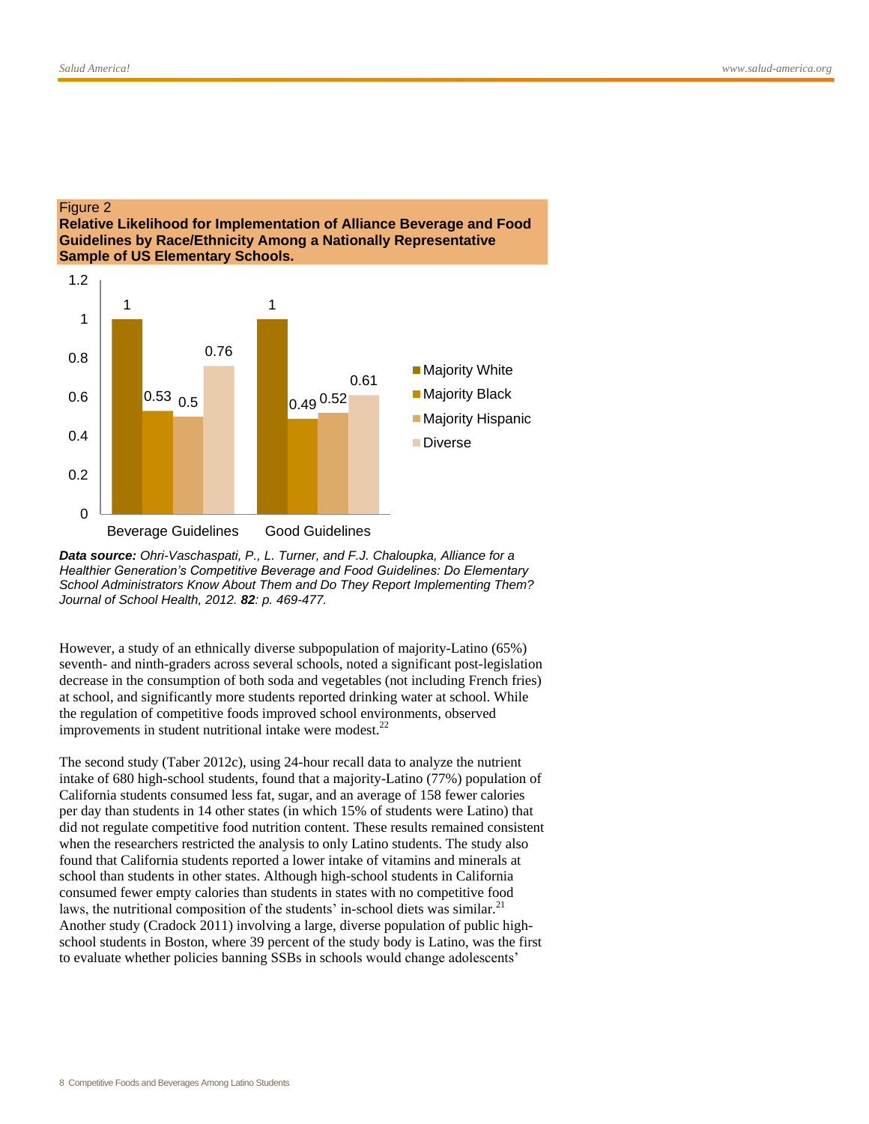#### Figure 2 **Relative Likelihood for Implementation of Alliance Beverage and Food Guidelines by Race/Ethnicity Among a Nationally Representative Sample of US Elementary Schools.**





However, a study of an ethnically diverse subpopulation of majority-Latino (65%) seventh- and ninth-graders across several schools, noted a significant post-legislation decrease in the consumption of both soda and vegetables (not including French fries) at school, and significantly more students reported drinking water at school. While the regulation of competitive foods improved school environments, observed improvements in student nutritional intake were modest. $^{22}$  $^{22}$  $^{22}$ 

The second study (Taber 2012c), using 24-hour recall data to analyze the nutrient intake of 680 high-school students, found that a majority-Latino (77%) population of California students consumed less fat, sugar, and an average of 158 fewer calories per day than students in 14 other states (in which 15% of students were Latino) that did not regulate competitive food nutrition content. These results remained consistent when the researchers restricted the analysis to only Latino students. The study also found that California students reported a lower intake of vitamins and minerals at school than students in other states. Although high-school students in California consumed fewer empty calories than students in states with no competitive food laws, the nutritional composition of the students' in-school diets was similar.<sup>[21](#page-13-10)</sup> Another study (Cradock 2011) involving a large, diverse population of public highschool students in Boston, where 39 percent of the study body is Latino, was the first to evaluate whether policies banning SSBs in schools would change adolescents'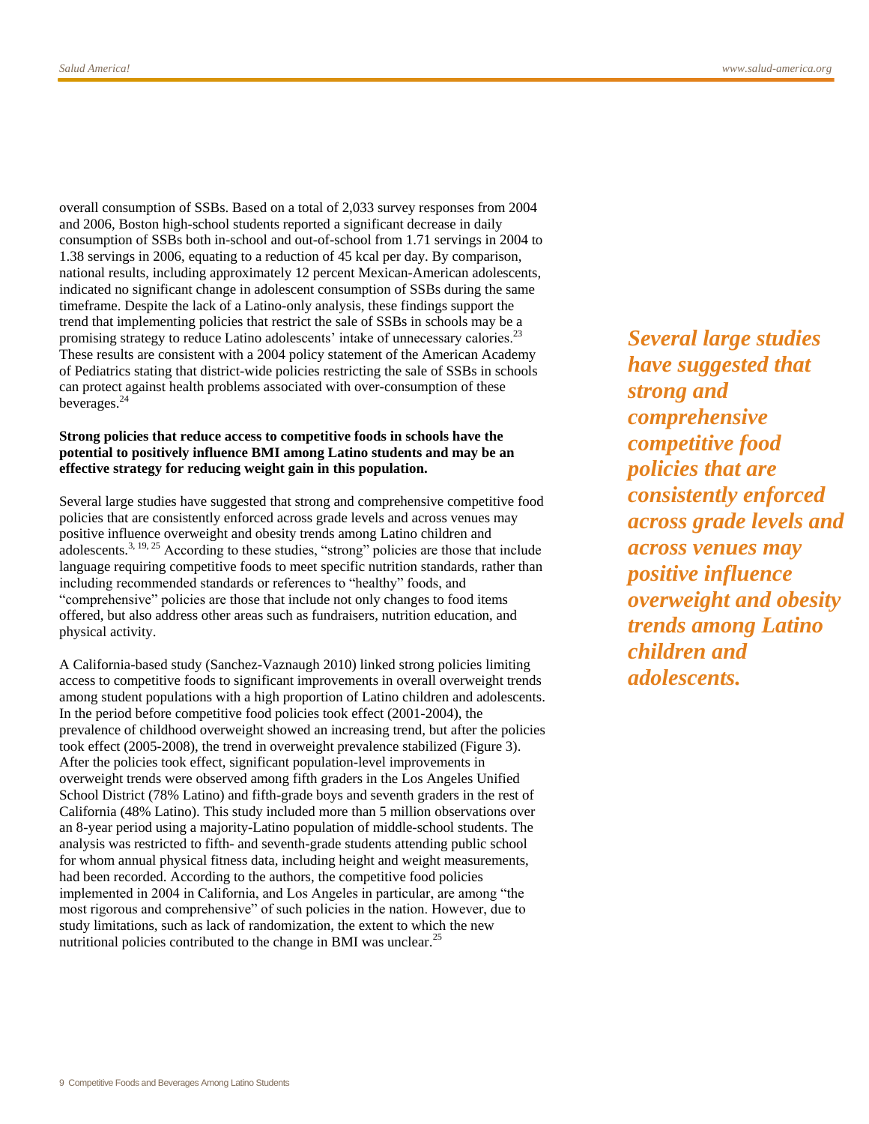overall consumption of SSBs. Based on a total of 2,033 survey responses from 2004 and 2006, Boston high-school students reported a significant decrease in daily consumption of SSBs both in-school and out-of-school from 1.71 servings in 2004 to 1.38 servings in 2006, equating to a reduction of 45 kcal per day. By comparison, national results, including approximately 12 percent Mexican-American adolescents, indicated no significant change in adolescent consumption of SSBs during the same timeframe. Despite the lack of a Latino-only analysis, these findings support the trend that implementing policies that restrict the sale of SSBs in schools may be a promising strategy to reduce Latino adolescents' intake of unnecessary calories.<sup>[23](#page-14-0)</sup> These results are consistent with a 2004 policy statement of the American Academy of Pediatrics stating that district-wide policies restricting the sale of SSBs in schools can protect against health problems associated with over-consumption of these beverages.[24](#page-14-1)

#### **Strong policies that reduce access to competitive foods in schools have the potential to positively influence BMI among Latino students and may be an effective strategy for reducing weight gain in this population[.](#page-12-2)**

Several large studies have suggested that strong and comprehensive competitive food policies that are consistently enforced across grade levels and across venues may positive influence overweight and obesity trends among Latino children and adolescents.<sup>[3,](#page-12-2) [19,](#page-13-8) [25](#page-14-2)</sup> According to these studies, "strong" policies are those that include language requiring competitive foods to meet specific nutrition standards, rather than including recommended standards or references to "healthy" foods, and "comprehensive" policies are those that include not only changes to food items offered, but also address other areas such as fundraisers, nutrition education, and physical activity.

A California-based study (Sanchez-Vaznaugh 2010) linked strong policies limiting access to competitive foods to significant improvements in overall overweight trends among student populations with a high proportion of Latino children and adolescents. In the period before competitive food policies took effect (2001-2004), the prevalence of childhood overweight showed an increasing trend, but after the policies took effect (2005-2008), the trend in overweight prevalence stabilized (Figure 3). After the policies took effect, significant population-level improvements in overweight trends were observed among fifth graders in the Los Angeles Unified School District (78% Latino) and fifth-grade boys and seventh graders in the rest of California (48% Latino). This study included more than 5 million observations over an 8-year period using a majority-Latino population of middle-school students. The analysis was restricted to fifth- and seventh-grade students attending public school for whom annual physical fitness data, including height and weight measurements, had been recorded. According to the authors, the competitive food policies implemented in 2004 in California, and Los Angeles in particular, are among "the most rigorous and comprehensive" of such policies in the nation. However, due to study limitations, such as lack of randomization, the extent to which the new nutritional policies contributed to the change in BMI was unclear.<sup>[25](#page-14-2)</sup>

*Several large studies have suggested that strong and comprehensive competitive food policies that are consistently enforced across grade levels and across venues may positive influence overweight and obesity trends among Latino children and adolescents.*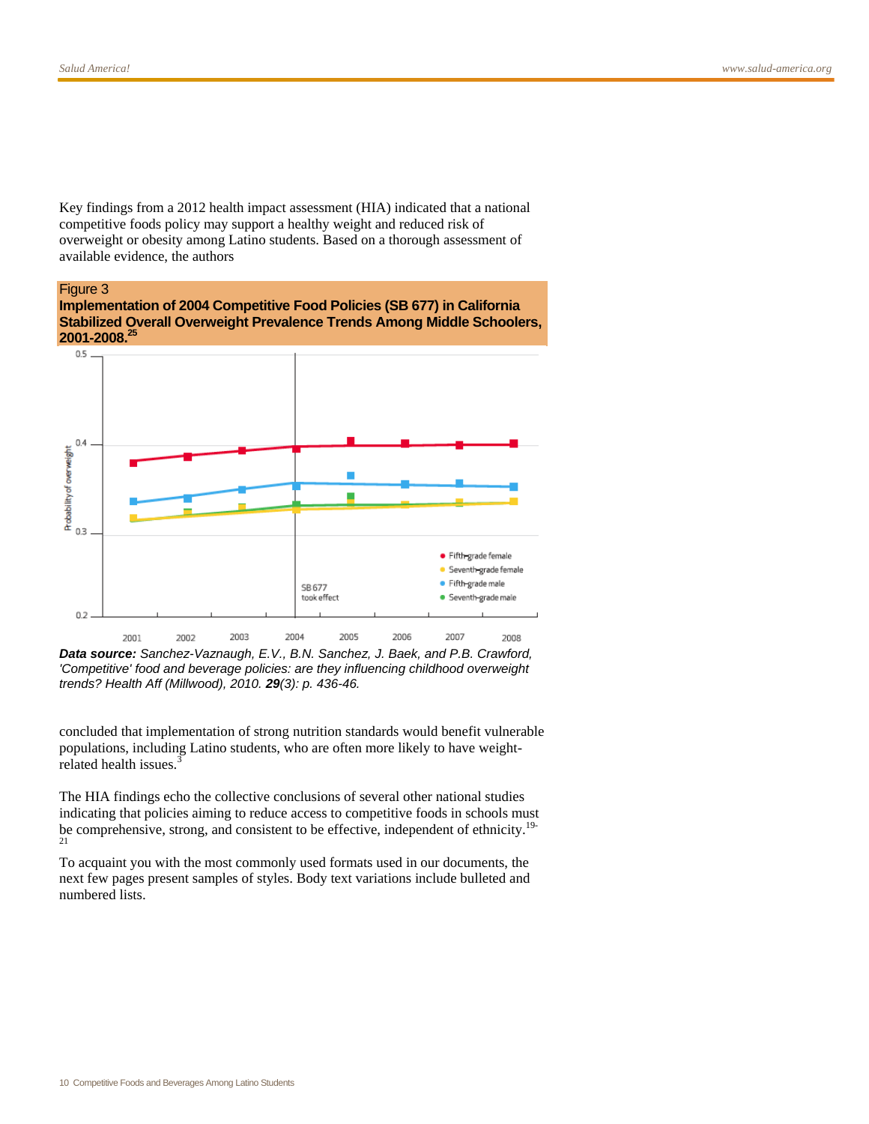Key findings from a 2012 health impact assessment (HIA) indicated that a national competitive foods policy may support a healthy weight and reduced risk of overweight or obesity among Latino students. Based on a thorough assessment of available evidence, the authors

#### Figure 3





*Data source: Sanchez-Vaznaugh, E.V., B.N. Sanchez, J. Baek, and P.B. Crawford, 'Competitive' food and beverage policies: are they influencing childhood overweight trends? Health Aff (Millwood), 2010. 29(3): p. 436-46.*

concluded that implementation of strong nutrition standards would benefit vulnerable populations, including Latino students, who are often more likely to have weight-related health issues.<sup>[3](#page-12-2)</sup>

The HIA findings echo the collective conclusions of several other national studies indicating that policies aiming to reduce access to competitive foods in schools must be comprehensive, strong, and consistent to be effective, independent of ethnicity.<sup>[19-](#page-13-8)</sup>  $21$ 

To acquaint you with the most commonly used formats used in our documents, the next few pages present samples of styles. Body text variations include bulleted and numbered lists.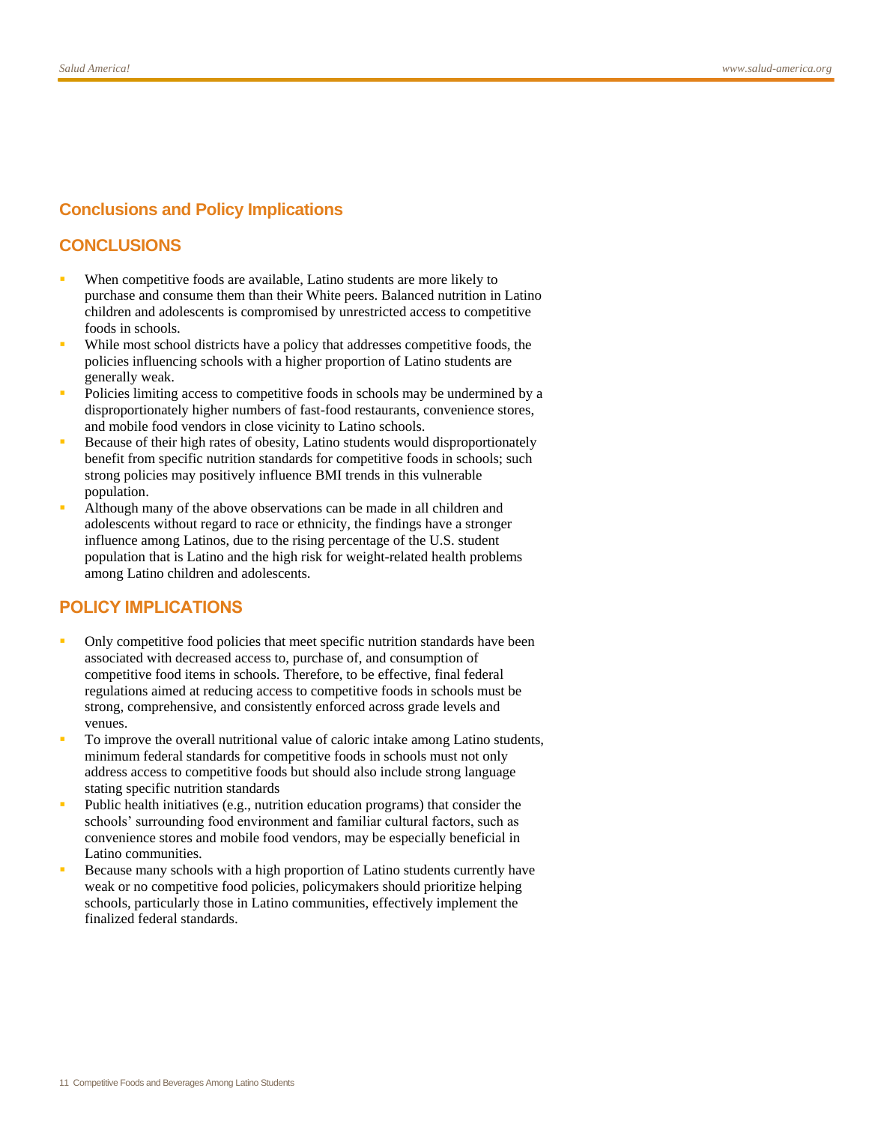# **Conclusions and Policy Implications**

# **CONCLUSIONS**

- When competitive foods are available, Latino students are more likely to purchase and consume them than their White peers. Balanced nutrition in Latino children and adolescents is compromised by unrestricted access to competitive foods in schools.
- While most school districts have a policy that addresses competitive foods, the policies influencing schools with a higher proportion of Latino students are generally weak.
- Policies limiting access to competitive foods in schools may be undermined by a disproportionately higher numbers of fast-food restaurants, convenience stores, and mobile food vendors in close vicinity to Latino schools.
- Because of their high rates of obesity, Latino students would disproportionately benefit from specific nutrition standards for competitive foods in schools; such strong policies may positively influence BMI trends in this vulnerable population.
- Although many of the above observations can be made in all children and adolescents without regard to race or ethnicity, the findings have a stronger influence among Latinos, due to the rising percentage of the U.S. student population that is Latino and the high risk for weight-related health problems among Latino children and adolescents.

# **POLICY IMPLICATIONS**

- Only competitive food policies that meet specific nutrition standards have been associated with decreased access to, purchase of, and consumption of competitive food items in schools. Therefore, to be effective, final federal regulations aimed at reducing access to competitive foods in schools must be strong, comprehensive, and consistently enforced across grade levels and venues.
- To improve the overall nutritional value of caloric intake among Latino students, minimum federal standards for competitive foods in schools must not only address access to competitive foods but should also include strong language stating specific nutrition standards
- Public health initiatives (e.g., nutrition education programs) that consider the schools' surrounding food environment and familiar cultural factors, such as convenience stores and mobile food vendors, may be especially beneficial in Latino communities.
- Because many schools with a high proportion of Latino students currently have weak or no competitive food policies, policymakers should prioritize helping schools, particularly those in Latino communities, effectively implement the finalized federal standards.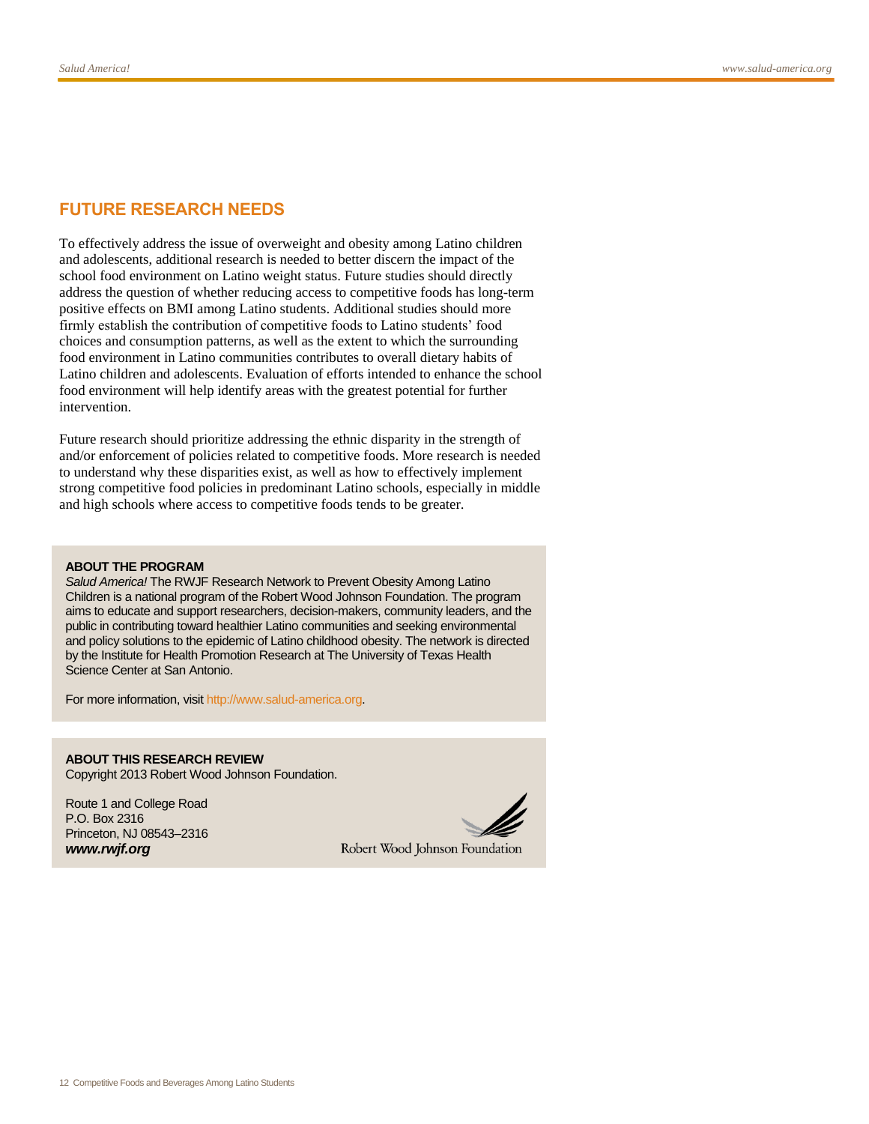# **FUTURE RESEARCH NEEDS**

To effectively address the issue of overweight and obesity among Latino children and adolescents, additional research is needed to better discern the impact of the school food environment on Latino weight status. Future studies should directly address the question of whether reducing access to competitive foods has long-term positive effects on BMI among Latino students. Additional studies should more firmly establish the contribution of competitive foods to Latino students' food choices and consumption patterns, as well as the extent to which the surrounding food environment in Latino communities contributes to overall dietary habits of Latino children and adolescents. Evaluation of efforts intended to enhance the school food environment will help identify areas with the greatest potential for further intervention.

Future research should prioritize addressing the ethnic disparity in the strength of and/or enforcement of policies related to competitive foods. More research is needed to understand why these disparities exist, as well as how to effectively implement strong competitive food policies in predominant Latino schools, especially in middle and high schools where access to competitive foods tends to be greater.

#### **ABOUT THE PROGRAM**

*Salud America!* The RWJF Research Network to Prevent Obesity Among Latino Children is a national program of the Robert Wood Johnson Foundation. The program aims to educate and support researchers, decision-makers, community leaders, and the public in contributing toward healthier Latino communities and seeking environmental and policy solutions to the epidemic of Latino childhood obesity. The network is directed by the Institute for Health Promotion Research at The University of Texas Health Science Center at San Antonio.

For more information, visi[t http://www.salud-america.org.](http://www.salud-america.org/)

**ABOUT THIS RESEARCH REVIEW** Copyright 2013 Robert Wood Johnson Foundation.

Route 1 and College Road P.O. Box 2316 Princeton, NJ 08543–2316 *www.rwjf.org*

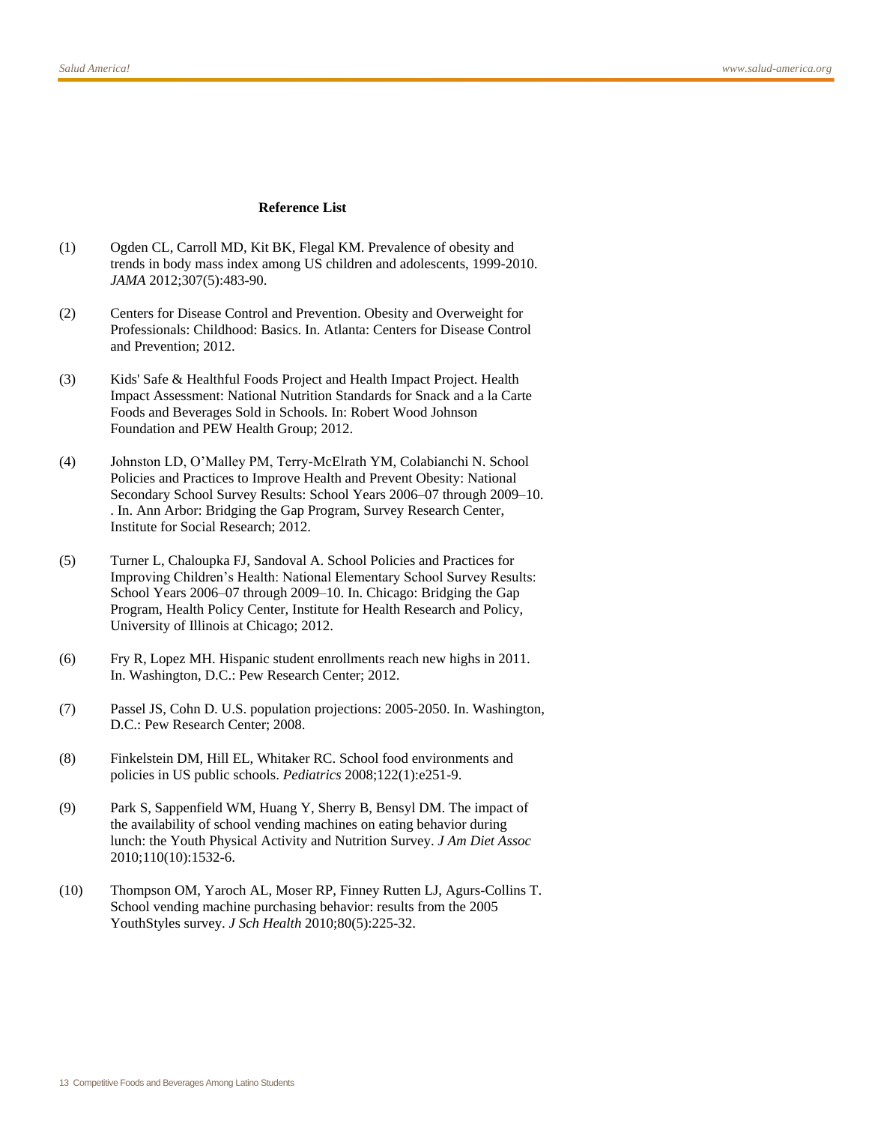#### **Reference List**

- <span id="page-12-0"></span>(1) Ogden CL, Carroll MD, Kit BK, Flegal KM. Prevalence of obesity and trends in body mass index among US children and adolescents, 1999-2010. *JAMA* 2012;307(5):483-90.
- <span id="page-12-1"></span>(2) Centers for Disease Control and Prevention. Obesity and Overweight for Professionals: Childhood: Basics. In. Atlanta: Centers for Disease Control and Prevention; 2012.
- <span id="page-12-2"></span>(3) Kids' Safe & Healthful Foods Project and Health Impact Project. Health Impact Assessment: National Nutrition Standards for Snack and a la Carte Foods and Beverages Sold in Schools. In: Robert Wood Johnson Foundation and PEW Health Group; 2012.
- <span id="page-12-3"></span>(4) Johnston LD, O'Malley PM, Terry-McElrath YM, Colabianchi N. School Policies and Practices to Improve Health and Prevent Obesity: National Secondary School Survey Results: School Years 2006–07 through 2009–10. . In. Ann Arbor: Bridging the Gap Program, Survey Research Center, Institute for Social Research; 2012.
- <span id="page-12-4"></span>(5) Turner L, Chaloupka FJ, Sandoval A. School Policies and Practices for Improving Children's Health: National Elementary School Survey Results: School Years 2006–07 through 2009–10. In. Chicago: Bridging the Gap Program, Health Policy Center, Institute for Health Research and Policy, University of Illinois at Chicago; 2012.
- <span id="page-12-5"></span>(6) Fry R, Lopez MH. Hispanic student enrollments reach new highs in 2011. In. Washington, D.C.: Pew Research Center; 2012.
- <span id="page-12-6"></span>(7) Passel JS, Cohn D. U.S. population projections: 2005-2050. In. Washington, D.C.: Pew Research Center; 2008.
- <span id="page-12-7"></span>(8) Finkelstein DM, Hill EL, Whitaker RC. School food environments and policies in US public schools. *Pediatrics* 2008;122(1):e251-9.
- <span id="page-12-8"></span>(9) Park S, Sappenfield WM, Huang Y, Sherry B, Bensyl DM. The impact of the availability of school vending machines on eating behavior during lunch: the Youth Physical Activity and Nutrition Survey. *J Am Diet Assoc* 2010;110(10):1532-6.
- <span id="page-12-9"></span>(10) Thompson OM, Yaroch AL, Moser RP, Finney Rutten LJ, Agurs-Collins T. School vending machine purchasing behavior: results from the 2005 YouthStyles survey. *J Sch Health* 2010;80(5):225-32.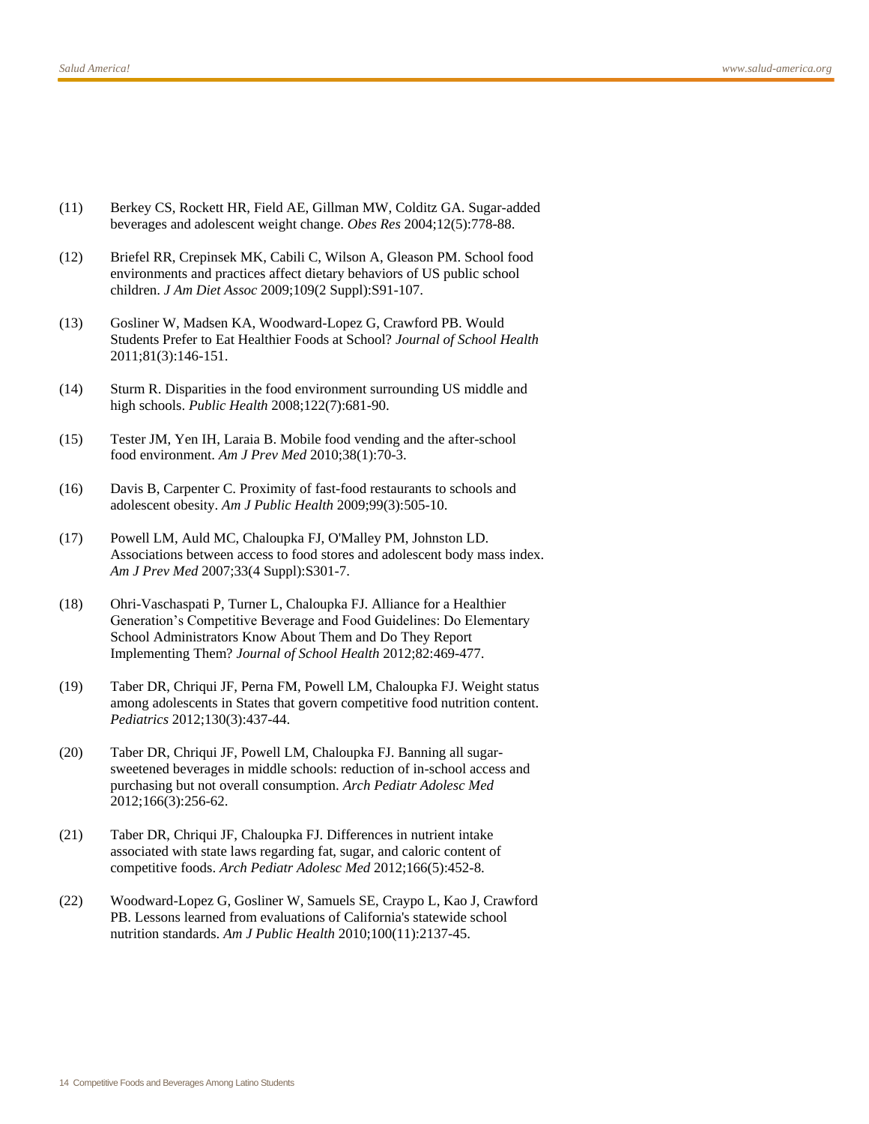- <span id="page-13-0"></span>(11) Berkey CS, Rockett HR, Field AE, Gillman MW, Colditz GA. Sugar-added beverages and adolescent weight change. *Obes Res* 2004;12(5):778-88.
- <span id="page-13-1"></span>(12) Briefel RR, Crepinsek MK, Cabili C, Wilson A, Gleason PM. School food environments and practices affect dietary behaviors of US public school children. *J Am Diet Assoc* 2009;109(2 Suppl):S91-107.
- <span id="page-13-2"></span>(13) Gosliner W, Madsen KA, Woodward-Lopez G, Crawford PB. Would Students Prefer to Eat Healthier Foods at School? *Journal of School Health* 2011;81(3):146-151.
- <span id="page-13-5"></span>(14) Sturm R. Disparities in the food environment surrounding US middle and high schools. *Public Health* 2008;122(7):681-90.
- <span id="page-13-6"></span>(15) Tester JM, Yen IH, Laraia B. Mobile food vending and the after-school food environment. *Am J Prev Med* 2010;38(1):70-3.
- <span id="page-13-3"></span>(16) Davis B, Carpenter C. Proximity of fast-food restaurants to schools and adolescent obesity. *Am J Public Health* 2009;99(3):505-10.
- <span id="page-13-4"></span>(17) Powell LM, Auld MC, Chaloupka FJ, O'Malley PM, Johnston LD. Associations between access to food stores and adolescent body mass index. *Am J Prev Med* 2007;33(4 Suppl):S301-7.
- <span id="page-13-7"></span>(18) Ohri-Vaschaspati P, Turner L, Chaloupka FJ. Alliance for a Healthier Generation's Competitive Beverage and Food Guidelines: Do Elementary School Administrators Know About Them and Do They Report Implementing Them? *Journal of School Health* 2012;82:469-477.
- <span id="page-13-8"></span>(19) Taber DR, Chriqui JF, Perna FM, Powell LM, Chaloupka FJ. Weight status among adolescents in States that govern competitive food nutrition content. *Pediatrics* 2012;130(3):437-44.
- <span id="page-13-9"></span>(20) Taber DR, Chriqui JF, Powell LM, Chaloupka FJ. Banning all sugarsweetened beverages in middle schools: reduction of in-school access and purchasing but not overall consumption. *Arch Pediatr Adolesc Med* 2012;166(3):256-62.
- <span id="page-13-10"></span>(21) Taber DR, Chriqui JF, Chaloupka FJ. Differences in nutrient intake associated with state laws regarding fat, sugar, and caloric content of competitive foods. *Arch Pediatr Adolesc Med* 2012;166(5):452-8.
- <span id="page-13-11"></span>(22) Woodward-Lopez G, Gosliner W, Samuels SE, Craypo L, Kao J, Crawford PB. Lessons learned from evaluations of California's statewide school nutrition standards. *Am J Public Health* 2010;100(11):2137-45.